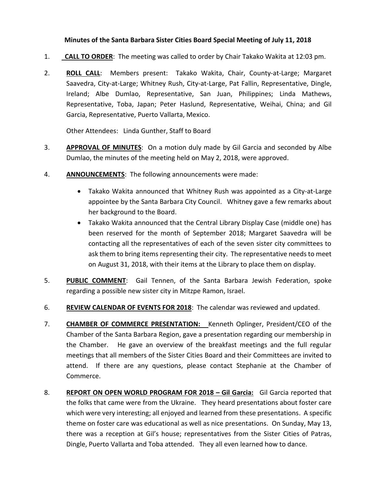## **Minutes of the Santa Barbara Sister Cities Board Special Meeting of July 11, 2018**

- 1. **CALL TO ORDER**: The meeting was called to order by Chair Takako Wakita at 12:03 pm.
- 2. **ROLL CALL**: Members present: Takako Wakita, Chair, County-at-Large; Margaret Saavedra, City-at-Large; Whitney Rush, City-at-Large, Pat Fallin, Representative, Dingle, Ireland; Albe Dumlao, Representative, San Juan, Philippines; Linda Mathews, Representative, Toba, Japan; Peter Haslund, Representative, Weihai, China; and Gil Garcia, Representative, Puerto Vallarta, Mexico.

Other Attendees: Linda Gunther, Staff to Board

- 3. **APPROVAL OF MINUTES**: On a motion duly made by Gil Garcia and seconded by Albe Dumlao, the minutes of the meeting held on May 2, 2018, were approved.
- 4. **ANNOUNCEMENTS**: The following announcements were made:
	- Takako Wakita announced that Whitney Rush was appointed as a City-at-Large appointee by the Santa Barbara City Council. Whitney gave a few remarks about her background to the Board.
	- Takako Wakita announced that the Central Library Display Case (middle one) has been reserved for the month of September 2018; Margaret Saavedra will be contacting all the representatives of each of the seven sister city committees to ask them to bring items representing their city. The representative needs to meet on August 31, 2018, with their items at the Library to place them on display.
- 5. **PUBLIC COMMENT**: Gail Tennen, of the Santa Barbara Jewish Federation, spoke regarding a possible new sister city in Mitzpe Ramon, Israel.
- 6. **REVIEW CALENDAR OF EVENTS FOR 2018**: The calendar was reviewed and updated.
- 7. **CHAMBER OF COMMERCE PRESENTATION:** Kenneth Oplinger, President/CEO of the Chamber of the Santa Barbara Region, gave a presentation regarding our membership in the Chamber. He gave an overview of the breakfast meetings and the full regular meetings that all members of the Sister Cities Board and their Committees are invited to attend. If there are any questions, please contact Stephanie at the Chamber of Commerce.
- 8. **REPORT ON OPEN WORLD PROGRAM FOR 2018 – Gil Garcia:** Gil Garcia reported that the folks that came were from the Ukraine. They heard presentations about foster care which were very interesting; all enjoyed and learned from these presentations. A specific theme on foster care was educational as well as nice presentations. On Sunday, May 13, there was a reception at Gil's house; representatives from the Sister Cities of Patras, Dingle, Puerto Vallarta and Toba attended. They all even learned how to dance.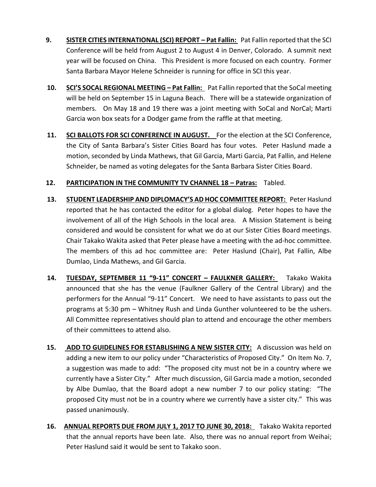- **9.** SISTER CITIES INTERNATIONAL (SCI) REPORT Pat Fallin: Pat Fallin reported that the SCI Conference will be held from August 2 to August 4 in Denver, Colorado. A summit next year will be focused on China. This President is more focused on each country. Former Santa Barbara Mayor Helene Schneider is running for office in SCI this year.
- 10. **SCI'S SOCAL REGIONAL MEETING Pat Fallin:** Pat Fallin reported that the SoCal meeting will be held on September 15 in Laguna Beach. There will be a statewide organization of members. On May 18 and 19 there was a joint meeting with SoCal and NorCal; Marti Garcia won box seats for a Dodger game from the raffle at that meeting.
- **11. SCI BALLOTS FOR SCI CONFERENCE IN AUGUST.** For the election at the SCI Conference, the City of Santa Barbara's Sister Cities Board has four votes. Peter Haslund made a motion, seconded by Linda Mathews, that Gil Garcia, Marti Garcia, Pat Fallin, and Helene Schneider, be named as voting delegates for the Santa Barbara Sister Cities Board.

## 12. **PARTICIPATION IN THE COMMUNITY TV CHANNEL 18 - Patras: Tabled.**

- **13. STUDENT LEADERSHIP AND DIPLOMACY'S AD HOC COMMITTEE REPORT:** Peter Haslund reported that he has contacted the editor for a global dialog. Peter hopes to have the involvement of all of the High Schools in the local area. A Mission Statement is being considered and would be consistent for what we do at our Sister Cities Board meetings. Chair Takako Wakita asked that Peter please have a meeting with the ad-hoc committee. The members of this ad hoc committee are: Peter Haslund (Chair), Pat Fallin, Albe Dumlao, Linda Mathews, and Gil Garcia.
- **14. TUESDAY, SEPTEMBER 11 "9-11" CONCERT – FAULKNER GALLERY:** Takako Wakita announced that she has the venue (Faulkner Gallery of the Central Library) and the performers for the Annual "9-11" Concert. We need to have assistants to pass out the programs at 5:30 pm – Whitney Rush and Linda Gunther volunteered to be the ushers. All Committee representatives should plan to attend and encourage the other members of their committees to attend also.
- **15. ADD TO GUIDELINES FOR ESTABLISHING A NEW SISTER CITY:** A discussion was held on adding a new item to our policy under "Characteristics of Proposed City." On Item No. 7, a suggestion was made to add: "The proposed city must not be in a country where we currently have a Sister City." After much discussion, Gil Garcia made a motion, seconded by Albe Dumlao, that the Board adopt a new number 7 to our policy stating: "The proposed City must not be in a country where we currently have a sister city." This was passed unanimously.
- **16. ANNUAL REPORTS DUE FROM JULY 1, 2017 TO JUNE 30, 2018:** Takako Wakita reported that the annual reports have been late. Also, there was no annual report from Weihai; Peter Haslund said it would be sent to Takako soon.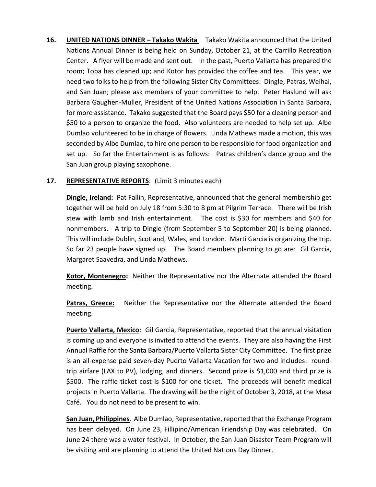**16. UNITED NATIONS DINNER – Takako Wakita** Takako Wakita announced that the United Nations Annual Dinner is being held on Sunday, October 21, at the Carrillo Recreation Center. A flyer will be made and sent out. In the past, Puerto Vallarta has prepared the room; Toba has cleaned up; and Kotor has provided the coffee and tea. This year, we need two folks to help from the following Sister City Committees: Dingle, Patras, Weihai, and San Juan; please ask members of your committee to help. Peter Haslund will ask Barbara Gaughen-Muller, President of the United Nations Association in Santa Barbara, for more assistance. Takako suggested that the Board pays \$50 for a cleaning person and \$50 to a person to organize the food. Also volunteers are needed to help set up. Albe Dumlao volunteered to be in charge of flowers. Linda Mathews made a motion, this was seconded by Albe Dumlao, to hire one person to be responsible for food organization and set up. So far the Entertainment is as follows: Patras children's dance group and the San Juan group playing saxophone.

## **17. REPRESENTATIVE REPORTS**: (Limit 3 minutes each)

**Dingle, Ireland:** Pat Fallin, Representative, announced that the general membership get together will be held on July 18 from 5:30 to 8 pm at Pilgrim Terrace. There will be Irish stew with lamb and Irish entertainment. The cost is \$30 for members and \$40 for nonmembers. A trip to Dingle (from September 5 to September 20) is being planned. This will include Dublin, Scotland, Wales, and London. Marti Garcia is organizing the trip. So far 23 people have signed up. The Board members planning to go are: Gil Garcia, Margaret Saavedra, and Linda Mathews.

**Kotor, Montenegro:** Neither the Representative nor the Alternate attended the Board meeting.

**Patras, Greece:** Neither the Representative nor the Alternate attended the Board meeting.

**Puerto Vallarta, Mexico**: Gil Garcia, Representative, reported that the annual visitation is coming up and everyone is invited to attend the events. They are also having the First Annual Raffle for the Santa Barbara/Puerto Vallarta Sister City Committee. The first prize is an all-expense paid seven-day Puerto Vallarta Vacation for two and includes: roundtrip airfare (LAX to PV), lodging, and dinners. Second prize is \$1,000 and third prize is \$500. The raffle ticket cost is \$100 for one ticket. The proceeds will benefit medical projects in Puerto Vallarta. The drawing will be the night of October 3, 2018, at the Mesa Café. You do not need to be present to win.

**San Juan, Philippines**. Albe Dumlao, Representative, reported that the Exchange Program has been delayed. On June 23, Fillipino/American Friendship Day was celebrated. On June 24 there was a water festival. In October, the San Juan Disaster Team Program will be visiting and are planning to attend the United Nations Day Dinner.